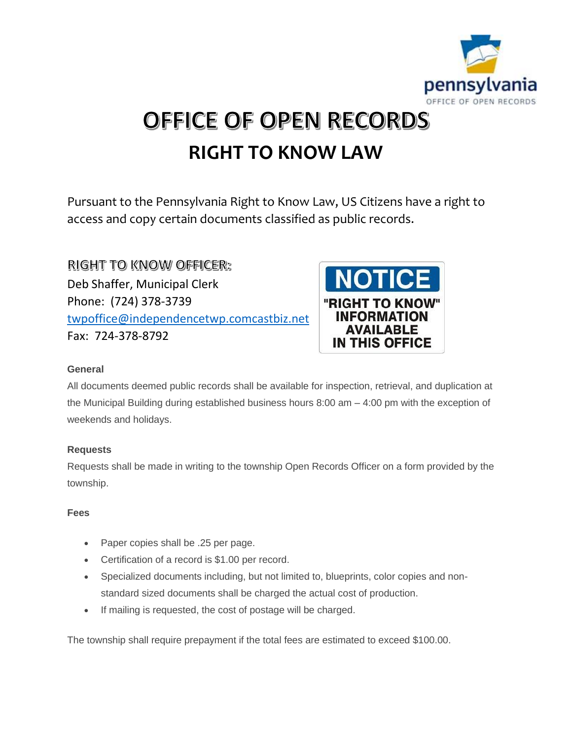

# **OFFICE OF OPEN RECORDS RIGHT TO KNOW LAW**

Pursuant to the Pennsylvania Right to Know Law, US Citizens have a right to access and copy certain documents classified as public records.

RIGHT TO KNOW OFFICER: Deb Shaffer, Municipal Clerk Phone: (724) 378-3739 [twpoffice@independencetwp.comcastbiz.net](mailto:twpoffice@independencetwp.comcastbiz.net) Fax: 724-378-8792



## **General**

All documents deemed public records shall be available for inspection, retrieval, and duplication at the Municipal Building during established business hours 8:00 am – 4:00 pm with the exception of weekends and holidays.

## **Requests**

Requests shall be made in writing to the township Open Records Officer on a form provided by the township.

## **Fees**

- Paper copies shall be .25 per page.
- Certification of a record is \$1.00 per record.
- Specialized documents including, but not limited to, blueprints, color copies and nonstandard sized documents shall be charged the actual cost of production.
- If mailing is requested, the cost of postage will be charged.

The township shall require prepayment if the total fees are estimated to exceed \$100.00.